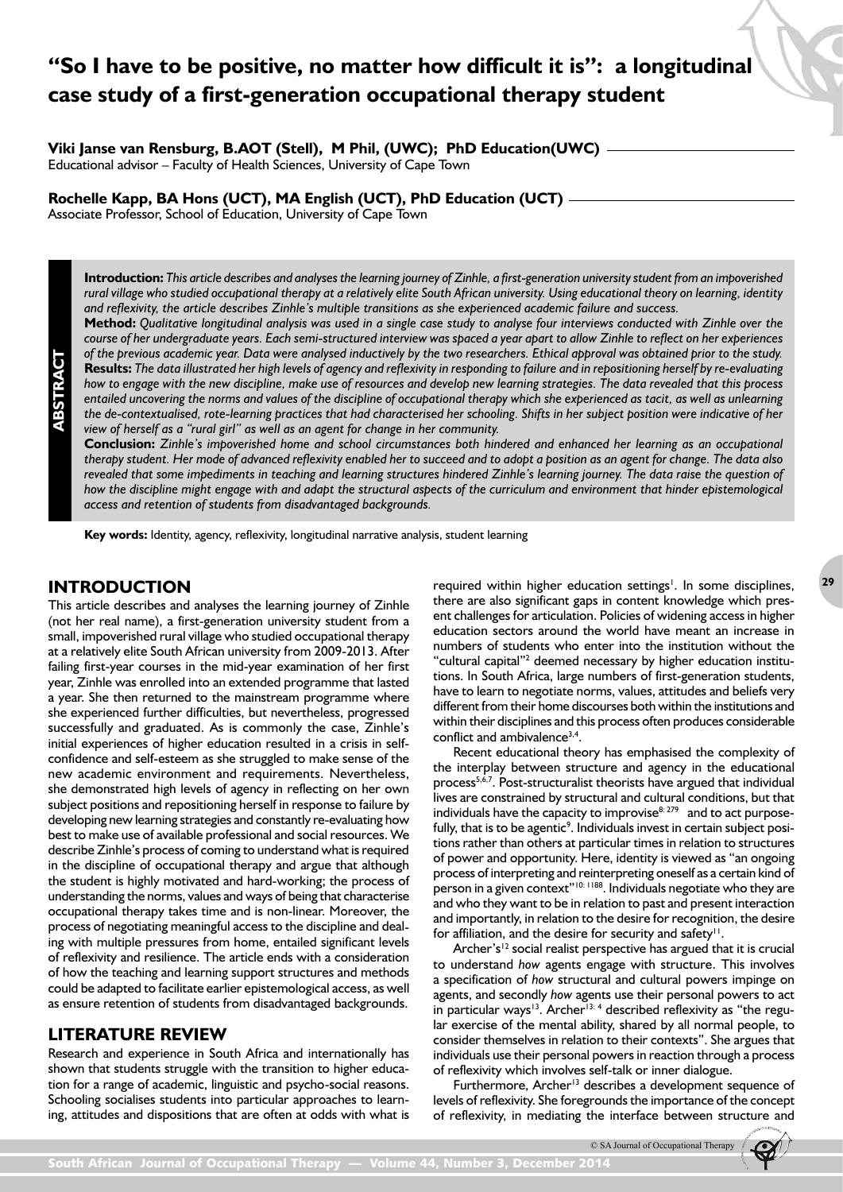# **"So I have to be positive, no matter how difficult it is": a longitudinal case study of a first-generation occupational therapy student**

**Viki Janse van Rensburg, B.AOT (Stell), M Phil, (UWC); PhD Education(UWC)** 

Educational advisor – Faculty of Health Sciences, University of Cape Town

**Rochelle Kapp, BA Hons (UCT), MA English (UCT), PhD Education (UCT)**

Associate Professor, School of Education, University of Cape Town

**Introduction:** *This article describes and analyses the learning journey of Zinhle, a first-generation university student from an impoverished rural village who studied occupational therapy at a relatively elite South African university. Using educational theory on learning, identity and reflexivity, the article describes Zinhle's multiple transitions as she experienced academic failure and success.*

**Method:** *Qualitative longitudinal analysis was used in a single case study to analyse four interviews conducted with Zinhle over the course of her undergraduate years. Each semi-structured interview was spaced a year apart to allow Zinhle to reflect on her experiences of the previous academic year. Data were analysed inductively by the two researchers. Ethical approval was obtained prior to the study.* **Results:** *The data illustrated her high levels of agency and reflexivity in responding to failure and in repositioning herself by re-evaluating how to engage with the new discipline, make use of resources and develop new learning strategies. The data revealed that this process entailed uncovering the norms and values of the discipline of occupational therapy which she experienced as tacit, as well as unlearning the de-contextualised, rote-learning practices that had characterised her schooling. Shifts in her subject position were indicative of her view of herself as a "rural girl" as well as an agent for change in her community.* 

**Conclusion:** *Zinhle's impoverished home and school circumstances both hindered and enhanced her learning as an occupational therapy student. Her mode of advanced reflexivity enabled her to succeed and to adopt a position as an agent for change. The data also revealed that some impediments in teaching and learning structures hindered Zinhle's learning journey. The data raise the question of how the discipline might engage with and adapt the structural aspects of the curriculum and environment that hinder epistemological access and retention of students from disadvantaged backgrounds.*

**Key words:** Identity, agency, reflexivity, longitudinal narrative analysis, student learning

# **INTRODUCTION**

**ABSTRACT**

This article describes and analyses the learning journey of Zinhle (not her real name), a first-generation university student from a small, impoverished rural village who studied occupational therapy at a relatively elite South African university from 2009-2013. After failing first-year courses in the mid-year examination of her first year, Zinhle was enrolled into an extended programme that lasted a year. She then returned to the mainstream programme where she experienced further difficulties, but nevertheless, progressed successfully and graduated. As is commonly the case, Zinhle's initial experiences of higher education resulted in a crisis in selfconfidence and self-esteem as she struggled to make sense of the new academic environment and requirements. Nevertheless, she demonstrated high levels of agency in reflecting on her own subject positions and repositioning herself in response to failure by developing new learning strategies and constantly re-evaluating how best to make use of available professional and social resources. We describe Zinhle's process of coming to understand what is required in the discipline of occupational therapy and argue that although the student is highly motivated and hard-working; the process of understanding the norms, values and ways of being that characterise occupational therapy takes time and is non-linear. Moreover, the process of negotiating meaningful access to the discipline and dealing with multiple pressures from home, entailed significant levels of reflexivity and resilience. The article ends with a consideration of how the teaching and learning support structures and methods could be adapted to facilitate earlier epistemological access, as well as ensure retention of students from disadvantaged backgrounds.

# **LITERATURE REVIEW**

Research and experience in South Africa and internationally has shown that students struggle with the transition to higher education for a range of academic, linguistic and psycho-social reasons. Schooling socialises students into particular approaches to learning, attitudes and dispositions that are often at odds with what is

required within higher education settings<sup>1</sup>. In some disciplines, there are also significant gaps in content knowledge which present challenges for articulation. Policies of widening access in higher education sectors around the world have meant an increase in numbers of students who enter into the institution without the "cultural capital"<sup>2</sup> deemed necessary by higher education institutions. In South Africa, large numbers of first-generation students, have to learn to negotiate norms, values, attitudes and beliefs very different from their home discourses both within the institutions and within their disciplines and this process often produces considerable conflict and ambivalence<sup>3,4</sup>.

Recent educational theory has emphasised the complexity of the interplay between structure and agency in the educational process<sup>5,6,7</sup>. Post-structuralist theorists have argued that individual lives are constrained by structural and cultural conditions, but that individuals have the capacity to improvise $8:279$  and to act purposefully, that is to be agentic<sup>9</sup>. Individuals invest in certain subject positions rather than others at particular times in relation to structures of power and opportunity. Here, identity is viewed as "an ongoing process of interpreting and reinterpreting oneself as a certain kind of person in a given context"<sup>10: 1188</sup>. Individuals negotiate who they are and who they want to be in relation to past and present interaction and importantly, in relation to the desire for recognition, the desire for affiliation, and the desire for security and safety $\mathsf{I}^1$ .

Archer's<sup>12</sup> social realist perspective has argued that it is crucial to understand *how* agents engage with structure. This involves a specification of *how* structural and cultural powers impinge on agents, and secondly *how* agents use their personal powers to act in particular ways<sup>13</sup>. Archer<sup>13: 4</sup> described reflexivity as "the regular exercise of the mental ability, shared by all normal people, to consider themselves in relation to their contexts". She argues that individuals use their personal powers in reaction through a process of reflexivity which involves self-talk or inner dialogue.

Furthermore, Archer<sup>13</sup> describes a development sequence of levels of reflexivity. She foregrounds the importance of the concept of reflexivity, in mediating the interface between structure and

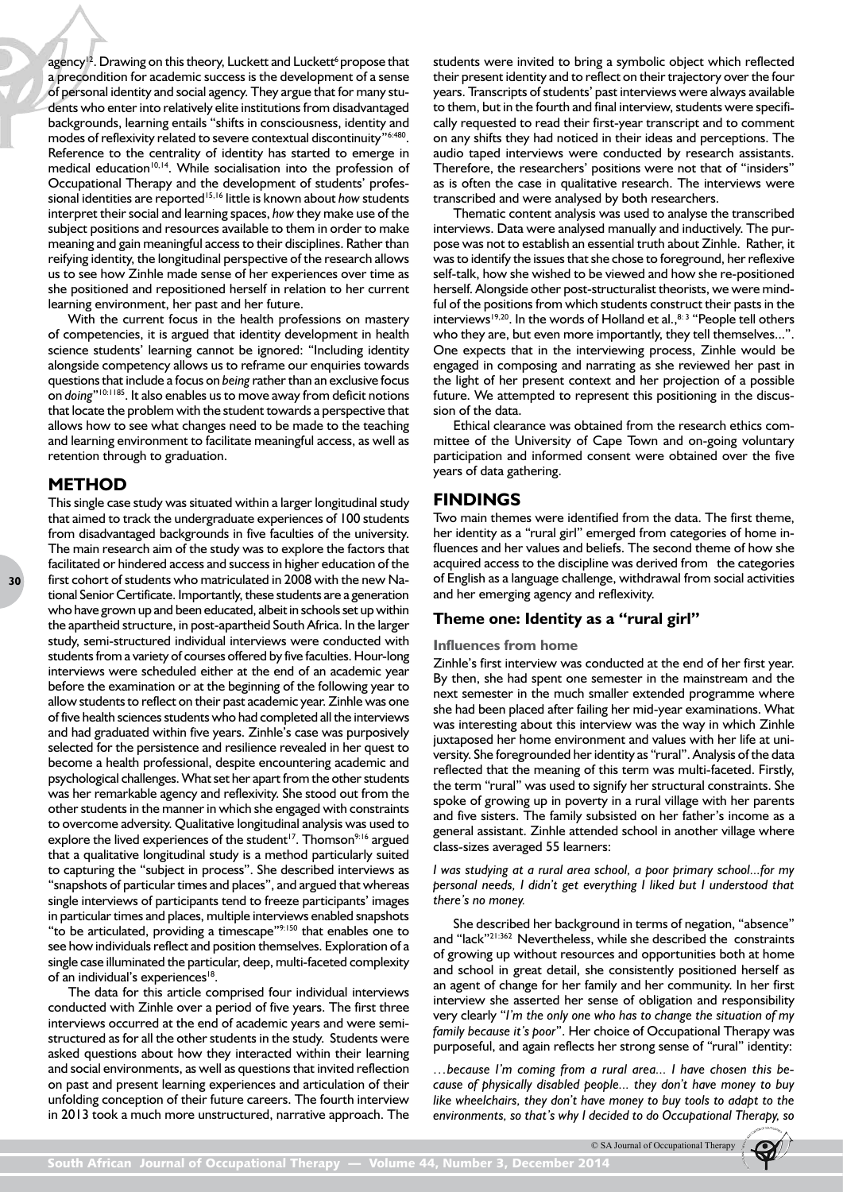agency<sup>12</sup>. Drawing on this theory, Luckett and Luckett<sup>6</sup> propose that a precondition for academic success is the development of a sense of personal identity and social agency. They argue that for many students who enter into relatively elite institutions from disadvantaged backgrounds, learning entails "shifts in consciousness, identity and modes of reflexivity related to severe contextual discontinuity"<sup>6:480</sup>. Reference to the centrality of identity has started to emerge in medical education<sup>10,14</sup>. While socialisation into the profession of Occupational Therapy and the development of students' professional identities are reported<sup>15,16</sup> little is known about *how* students interpret their social and learning spaces, *how* they make use of the subject positions and resources available to them in order to make meaning and gain meaningful access to their disciplines. Rather than reifying identity, the longitudinal perspective of the research allows us to see how Zinhle made sense of her experiences over time as she positioned and repositioned herself in relation to her current learning environment, her past and her future.

With the current focus in the health professions on mastery of competencies, it is argued that identity development in health science students' learning cannot be ignored: "Including identity alongside competency allows us to reframe our enquiries towards questions that include a focus on *being* rather than an exclusive focus on *doing*"10:1185. It also enables us to move away from deficit notions that locate the problem with the student towards a perspective that allows how to see what changes need to be made to the teaching and learning environment to facilitate meaningful access, as well as retention through to graduation.

# **METHOD**

**30**

This single case study was situated within a larger longitudinal study that aimed to track the undergraduate experiences of 100 students from disadvantaged backgrounds in five faculties of the university. The main research aim of the study was to explore the factors that facilitated or hindered access and success in higher education of the first cohort of students who matriculated in 2008 with the new National Senior Certificate. Importantly, these students are a generation who have grown up and been educated, albeit in schools set up within the apartheid structure, in post-apartheid South Africa. In the larger study, semi-structured individual interviews were conducted with students from a variety of courses offered by five faculties. Hour-long interviews were scheduled either at the end of an academic year before the examination or at the beginning of the following year to allow students to reflect on their past academic year. Zinhle was one of five health sciences students who had completed all the interviews and had graduated within five years. Zinhle's case was purposively selected for the persistence and resilience revealed in her quest to become a health professional, despite encountering academic and psychological challenges. What set her apart from the other students was her remarkable agency and reflexivity. She stood out from the other students in the manner in which she engaged with constraints to overcome adversity. Qualitative longitudinal analysis was used to explore the lived experiences of the student<sup>17</sup>. Thomson<sup>9:16</sup> argued that a qualitative longitudinal study is a method particularly suited to capturing the "subject in process". She described interviews as "snapshots of particular times and places", and argued that whereas single interviews of participants tend to freeze participants' images in particular times and places, multiple interviews enabled snapshots "to be articulated, providing a timescape"9:150 that enables one to see how individuals reflect and position themselves. Exploration of a single case illuminated the particular, deep, multi-faceted complexity of an individual's experiences<sup>18</sup>.

The data for this article comprised four individual interviews conducted with Zinhle over a period of five years. The first three interviews occurred at the end of academic years and were semistructured as for all the other students in the study. Students were asked questions about how they interacted within their learning and social environments, as well as questions that invited reflection on past and present learning experiences and articulation of their unfolding conception of their future careers. The fourth interview in 2013 took a much more unstructured, narrative approach. The

students were invited to bring a symbolic object which reflected their present identity and to reflect on their trajectory over the four years. Transcripts of students' past interviews were always available to them, but in the fourth and final interview, students were specifically requested to read their first-year transcript and to comment on any shifts they had noticed in their ideas and perceptions. The audio taped interviews were conducted by research assistants. Therefore, the researchers' positions were not that of "insiders" as is often the case in qualitative research. The interviews were transcribed and were analysed by both researchers.

Thematic content analysis was used to analyse the transcribed interviews. Data were analysed manually and inductively. The purpose was not to establish an essential truth about Zinhle. Rather, it was to identify the issues that she chose to foreground, her reflexive self-talk, how she wished to be viewed and how she re-positioned herself. Alongside other post-structuralist theorists, we were mindful of the positions from which students construct their pasts in the interviews<sup>19,20</sup>. In the words of Holland et al., <sup>8: 3</sup> "People tell others who they are, but even more importantly, they tell themselves...". One expects that in the interviewing process, Zinhle would be engaged in composing and narrating as she reviewed her past in the light of her present context and her projection of a possible future. We attempted to represent this positioning in the discussion of the data.

Ethical clearance was obtained from the research ethics committee of the University of Cape Town and on-going voluntary participation and informed consent were obtained over the five years of data gathering.

# **FINDINGS**

Two main themes were identified from the data. The first theme, her identity as a "rural girl" emerged from categories of home influences and her values and beliefs. The second theme of how she acquired access to the discipline was derived from the categories of English as a language challenge, withdrawal from social activities and her emerging agency and reflexivity.

## **Theme one: Identity as a "rural girl"**

#### **Influences from home**

Zinhle's first interview was conducted at the end of her first year. By then, she had spent one semester in the mainstream and the next semester in the much smaller extended programme where she had been placed after failing her mid-year examinations. What was interesting about this interview was the way in which Zinhle juxtaposed her home environment and values with her life at university. She foregrounded her identity as "rural". Analysis of the data reflected that the meaning of this term was multi-faceted. Firstly, the term "rural" was used to signify her structural constraints. She spoke of growing up in poverty in a rural village with her parents and five sisters. The family subsisted on her father's income as a general assistant. Zinhle attended school in another village where class-sizes averaged 55 learners:

#### *I was studying at a rural area school, a poor primary school...for my personal needs, I didn't get everything I liked but I understood that there's no money.*

She described her background in terms of negation, "absence" and "lack"<sup>21:362</sup> Nevertheless, while she described the constraints of growing up without resources and opportunities both at home and school in great detail, she consistently positioned herself as an agent of change for her family and her community. In her first interview she asserted her sense of obligation and responsibility very clearly "*I'm the only one who has to change the situation of my family because it's poor*". Her choice of Occupational Therapy was purposeful, and again reflects her strong sense of "rural" identity:

*…because I'm coming from a rural area... I have chosen this because of physically disabled people... they don't have money to buy like wheelchairs, they don't have money to buy tools to adapt to the environments, so that's why I decided to do Occupational Therapy, so* 

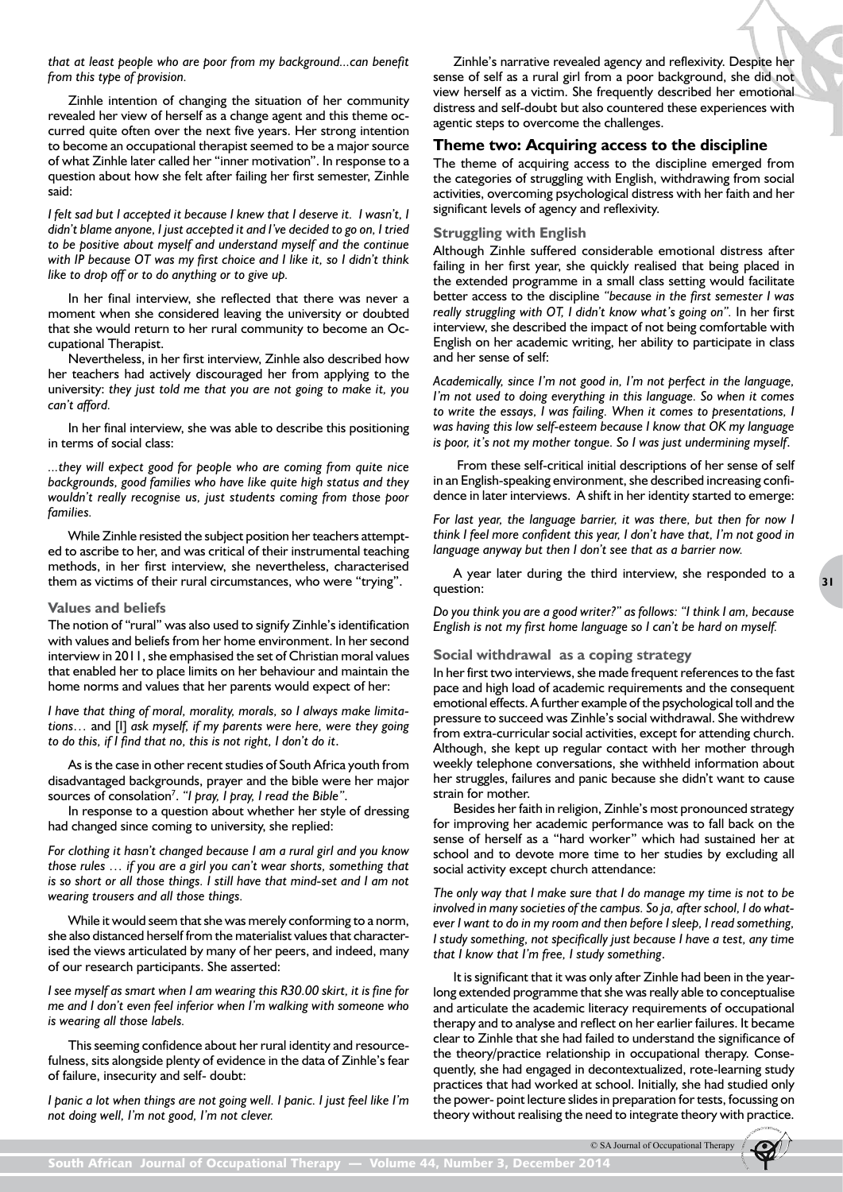*that at least people who are poor from my background...can benefit from this type of provision.*

Zinhle intention of changing the situation of her community revealed her view of herself as a change agent and this theme occurred quite often over the next five years. Her strong intention to become an occupational therapist seemed to be a major source of what Zinhle later called her "inner motivation". In response to a question about how she felt after failing her first semester, Zinhle said:

*I felt sad but I accepted it because I knew that I deserve it. I wasn't, I didn't blame anyone, I just accepted it and I've decided to go on, I tried to be positive about myself and understand myself and the continue with IP because OT was my first choice and I like it, so I didn't think like to drop off or to do anything or to give up.*

In her final interview, she reflected that there was never a moment when she considered leaving the university or doubted that she would return to her rural community to become an Occupational Therapist.

Nevertheless, in her first interview, Zinhle also described how her teachers had actively discouraged her from applying to the university: *they just told me that you are not going to make it, you can't afford.*

In her final interview, she was able to describe this positioning in terms of social class:

*...they will expect good for people who are coming from quite nice backgrounds, good families who have like quite high status and they wouldn't really recognise us, just students coming from those poor families.*

While Zinhle resisted the subject position her teachers attempted to ascribe to her, and was critical of their instrumental teaching methods, in her first interview, she nevertheless, characterised them as victims of their rural circumstances, who were "trying".

#### **Values and beliefs**

The notion of "rural" was also used to signify Zinhle's identification with values and beliefs from her home environment. In her second interview in 2011, she emphasised the set of Christian moral values that enabled her to place limits on her behaviour and maintain the home norms and values that her parents would expect of her:

*I have that thing of moral, morality, morals, so I always make limitations…* and [I] *ask myself, if my parents were here, were they going to do this, if I find that no, this is not right, I don't do it*.

As is the case in other recent studies of South Africa youth from disadvantaged backgrounds, prayer and the bible were her major sources of consolation7 . *"I pray, I pray, I read the Bible"*.

In response to a question about whether her style of dressing had changed since coming to university, she replied:

*For clothing it hasn't changed because I am a rural girl and you know those rules … if you are a girl you can't wear shorts, something that is so short or all those things. I still have that mind-set and I am not wearing trousers and all those things.* 

While it would seem that she was merely conforming to a norm, she also distanced herself from the materialist values that characterised the views articulated by many of her peers, and indeed, many of our research participants. She asserted:

*I see myself as smart when I am wearing this R30.00 skirt, it is fine for me and I don't even feel inferior when I'm walking with someone who is wearing all those labels.*

This seeming confidence about her rural identity and resourcefulness, sits alongside plenty of evidence in the data of Zinhle's fear of failure, insecurity and self- doubt:

*I panic a lot when things are not going well. I panic. I just feel like I'm not doing well, I'm not good, I'm not clever.*

Zinhle's narrative revealed agency and reflexivity. Despite her sense of self as a rural girl from a poor background, she did not view herself as a victim. She frequently described her emotional distress and self-doubt but also countered these experiences with agentic steps to overcome the challenges.

#### **Theme two: Acquiring access to the discipline**

The theme of acquiring access to the discipline emerged from the categories of struggling with English, withdrawing from social activities, overcoming psychological distress with her faith and her significant levels of agency and reflexivity.

#### **Struggling with English**

Although Zinhle suffered considerable emotional distress after failing in her first year, she quickly realised that being placed in the extended programme in a small class setting would facilitate better access to the discipline *"because in the first semester I was*  really struggling with OT, I didn't know what's going on". In her first interview, she described the impact of not being comfortable with English on her academic writing, her ability to participate in class and her sense of self:

*Academically, since I'm not good in, I'm not perfect in the language, I'm not used to doing everything in this language. So when it comes to write the essays, I was failing. When it comes to presentations, I was having this low self-esteem because I know that OK my language is poor, it's not my mother tongue. So I was just undermining myself*.

 From these self-critical initial descriptions of her sense of self in an English-speaking environment, she described increasing confidence in later interviews. A shift in her identity started to emerge:

*For last year, the language barrier, it was there, but then for now I think I feel more confident this year, I don't have that, I'm not good in language anyway but then I don't see that as a barrier now.*

A year later during the third interview, she responded to a question:

*Do you think you are a good writer?" as follows: "I think I am, because English is not my first home language so I can't be hard on myself.*

#### **Social withdrawal as a coping strategy**

In her first two interviews, she made frequent references to the fast pace and high load of academic requirements and the consequent emotional effects. A further example of the psychological toll and the pressure to succeed was Zinhle's social withdrawal. She withdrew from extra-curricular social activities, except for attending church. Although, she kept up regular contact with her mother through weekly telephone conversations, she withheld information about her struggles, failures and panic because she didn't want to cause strain for mother.

Besides her faith in religion, Zinhle's most pronounced strategy for improving her academic performance was to fall back on the sense of herself as a "hard worker" which had sustained her at school and to devote more time to her studies by excluding all social activity except church attendance:

*The only way that I make sure that I do manage my time is not to be involved in many societies of the campus. So ja, after school, I do whatever I want to do in my room and then before I sleep, I read something, I study something, not specifically just because I have a test, any time that I know that I'm free, I study something*.

It is significant that it was only after Zinhle had been in the yearlong extended programme that she was really able to conceptualise and articulate the academic literacy requirements of occupational therapy and to analyse and reflect on her earlier failures. It became clear to Zinhle that she had failed to understand the significance of the theory/practice relationship in occupational therapy. Consequently, she had engaged in decontextualized, rote-learning study practices that had worked at school. Initially, she had studied only the power- point lecture slides in preparation for tests, focussing on theory without realising the need to integrate theory with practice.

© SA Journal of Occupational Therapy

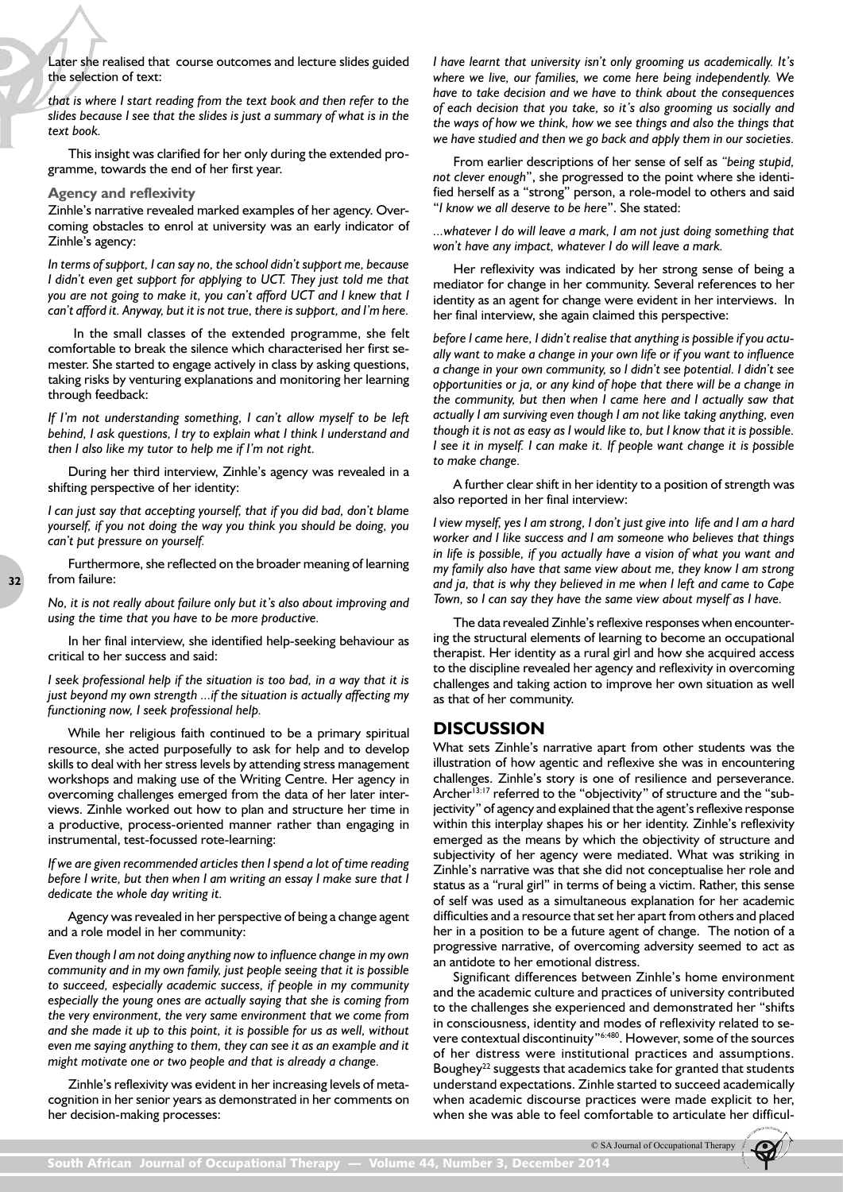Later she realised that course outcomes and lecture slides guided the selection of text:

*that is where I start reading from the text book and then refer to the slides because I see that the slides is just a summary of what is in the text book.*

This insight was clarified for her only during the extended programme, towards the end of her first year.

#### **Agency and reflexivity**

Zinhle's narrative revealed marked examples of her agency. Overcoming obstacles to enrol at university was an early indicator of Zinhle's agency:

*In terms of support, I can say no, the school didn't support me, because I didn't even get support for applying to UCT. They just told me that you are not going to make it, you can't afford UCT and I knew that I can't afford it. Anyway, but it is not true, there is support, and I'm here.*

In the small classes of the extended programme, she felt comfortable to break the silence which characterised her first semester. She started to engage actively in class by asking questions, taking risks by venturing explanations and monitoring her learning through feedback:

*If I'm not understanding something, I can't allow myself to be left behind, I ask questions, I try to explain what I think I understand and then I also like my tutor to help me if I'm not right.*

During her third interview, Zinhle's agency was revealed in a shifting perspective of her identity:

*I can just say that accepting yourself, that if you did bad, don't blame yourself, if you not doing the way you think you should be doing, you can't put pressure on yourself.*

Furthermore, she reflected on the broader meaning of learning from failure:

*No, it is not really about failure only but it's also about improving and using the time that you have to be more productive.*

In her final interview, she identified help-seeking behaviour as critical to her success and said:

*I seek professional help if the situation is too bad, in a way that it is just beyond my own strength ...if the situation is actually affecting my functioning now, I seek professional help.*

While her religious faith continued to be a primary spiritual resource, she acted purposefully to ask for help and to develop skills to deal with her stress levels by attending stress management workshops and making use of the Writing Centre. Her agency in overcoming challenges emerged from the data of her later interviews. Zinhle worked out how to plan and structure her time in a productive, process-oriented manner rather than engaging in instrumental, test-focussed rote-learning:

*If we are given recommended articles then I spend a lot of time reading before I write, but then when I am writing an essay I make sure that I dedicate the whole day writing it.*

Agency was revealed in her perspective of being a change agent and a role model in her community:

*Even though I am not doing anything now to influence change in my own community and in my own family, just people seeing that it is possible to succeed, especially academic success, if people in my community especially the young ones are actually saying that she is coming from the very environment, the very same environment that we come from and she made it up to this point, it is possible for us as well, without even me saying anything to them, they can see it as an example and it might motivate one or two people and that is already a change.*

Zinhle's reflexivity was evident in her increasing levels of metacognition in her senior years as demonstrated in her comments on her decision-making processes:

*I have learnt that university isn't only grooming us academically. It's where we live, our families, we come here being independently. We have to take decision and we have to think about the consequences of each decision that you take, so it's also grooming us socially and the ways of how we think, how we see things and also the things that we have studied and then we go back and apply them in our societies.*

From earlier descriptions of her sense of self as *"being stupid, not clever enough*", she progressed to the point where she identified herself as a "strong" person, a role-model to others and said "*I know we all deserve to be here*". She stated:

*...whatever I do will leave a mark, I am not just doing something that won't have any impact, whatever I do will leave a mark.*

Her reflexivity was indicated by her strong sense of being a mediator for change in her community. Several references to her identity as an agent for change were evident in her interviews. In her final interview, she again claimed this perspective:

*before I came here, I didn't realise that anything is possible if you actually want to make a change in your own life or if you want to influence a change in your own community, so I didn't see potential. I didn't see opportunities or ja, or any kind of hope that there will be a change in the community, but then when I came here and I actually saw that actually I am surviving even though I am not like taking anything, even though it is not as easy as I would like to, but I know that it is possible. I see it in myself. I can make it. If people want change it is possible to make change.* 

A further clear shift in her identity to a position of strength was also reported in her final interview:

*I view myself, yes I am strong, I don't just give into life and I am a hard worker and I like success and I am someone who believes that things in life is possible, if you actually have a vision of what you want and my family also have that same view about me, they know I am strong and ja, that is why they believed in me when I left and came to Cape Town, so I can say they have the same view about myself as I have.*

The data revealed Zinhle's reflexive responses when encountering the structural elements of learning to become an occupational therapist. Her identity as a rural girl and how she acquired access to the discipline revealed her agency and reflexivity in overcoming challenges and taking action to improve her own situation as well as that of her community.

### **DISCUSSION**

What sets Zinhle's narrative apart from other students was the illustration of how agentic and reflexive she was in encountering challenges. Zinhle's story is one of resilience and perseverance. Archer<sup>13:17</sup> referred to the "objectivity" of structure and the "subjectivity" of agency and explained that the agent's reflexive response within this interplay shapes his or her identity. Zinhle's reflexivity emerged as the means by which the objectivity of structure and subjectivity of her agency were mediated. What was striking in Zinhle's narrative was that she did not conceptualise her role and status as a "rural girl" in terms of being a victim. Rather, this sense of self was used as a simultaneous explanation for her academic difficulties and a resource that set her apart from others and placed her in a position to be a future agent of change. The notion of a progressive narrative, of overcoming adversity seemed to act as an antidote to her emotional distress.

Significant differences between Zinhle's home environment and the academic culture and practices of university contributed to the challenges she experienced and demonstrated her "shifts in consciousness, identity and modes of reflexivity related to severe contextual discontinuity"6:480. However, some of the sources of her distress were institutional practices and assumptions. Boughey<sup>22</sup> suggests that academics take for granted that students understand expectations. Zinhle started to succeed academically when academic discourse practices were made explicit to her, when she was able to feel comfortable to articulate her difficul-

© SA Journal of Occupational Therapy